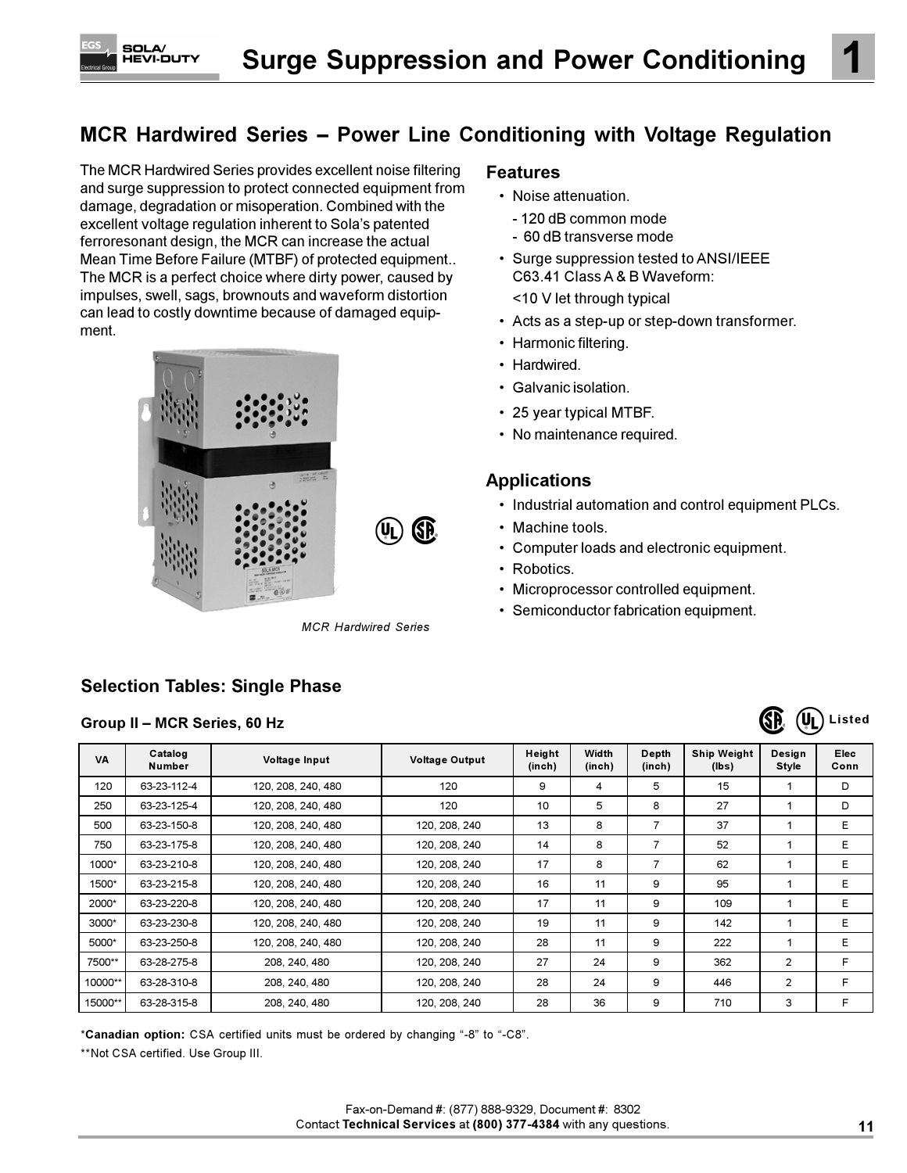# MCR Hardwired Series - Power Line Conditioning with Voltage Regulation

The MCR Hardwired Series provides excellent noise filtering and surge suppression to protect connected equipment from damage, degradation or misoperation. Combined with the excellent voltage regulation inherent to Sola's patented ferroresonant design, the MCR can increase the actual Mean Time Before Failure (MTBF) of protected equipment.. The MCR is a perfect choice where dirty power, caused by impulses, swell, sags, brownouts and waveform distortion can lead to costly downtime because of damaged equipment.

**SOLA** 



**MCR Hardwired Series** 

## **Selection Tables: Single Phase**

#### Group II - MCR Series, 60 Hz

### **Features**

- Noise attenuation.
- 120 dB common mode
- 60 dB transverse mode
- Surge suppression tested to ANSI/IEEE C63.41 Class A & B Waveform:
	- <10 V let through typical
- Acts as a step-up or step-down transformer.
- Harmonic filtering.
- Hardwired.
- Galvanic isolation.
- 25 year typical MTBF.
- No maintenance required.

### **Applications**

- Industrial automation and control equipment PLCs.
- Machine tools.
- Computer loads and electronic equipment.
- Robotics.
- Microprocessor controlled equipment.
- Semiconductor fabrication equipment.



| <b>VA</b> | Catalog<br>Number | Voltage Input      | <b>Voltage Output</b> | Height<br>(inch) | Width<br>(inch) | Depth<br>(inch) | <b>Ship Weight</b><br>(lbs) | Desian<br><b>Style</b> | <b>Elec</b><br>Conn |
|-----------|-------------------|--------------------|-----------------------|------------------|-----------------|-----------------|-----------------------------|------------------------|---------------------|
| 120       | 63-23-112-4       | 120, 208, 240, 480 | 120                   | 9                | 4               | 5               | 15                          |                        | D                   |
| 250       | 63-23-125-4       | 120, 208, 240, 480 | 120                   | 10               | 5               | 8               | 27                          |                        | D                   |
| 500       | 63-23-150-8       | 120, 208, 240, 480 | 120, 208, 240         | 13               | 8               | 7               | 37                          |                        | E.                  |
| 750       | 63-23-175-8       | 120, 208, 240, 480 | 120, 208, 240         | 14               | 8               | 7               | 52                          |                        | E.                  |
| 1000*     | 63-23-210-8       | 120, 208, 240, 480 | 120, 208, 240         | 17               | 8               | 7               | 62                          |                        | E.                  |
| 1500*     | 63-23-215-8       | 120, 208, 240, 480 | 120, 208, 240         | 16               | 11              | 9               | 95                          |                        | E                   |
| 2000*     | 63-23-220-8       | 120, 208, 240, 480 | 120, 208, 240         | 17               | 11              | 9               | 109                         |                        | E.                  |
| 3000*     | 63-23-230-8       | 120, 208, 240, 480 | 120, 208, 240         | 19               | 11              | 9               | 142                         |                        | E.                  |
| 5000*     | 63-23-250-8       | 120, 208, 240, 480 | 120, 208, 240         | 28               | 11              | 9               | 222                         |                        | E.                  |
| 7500**    | 63-28-275-8       | 208, 240, 480      | 120, 208, 240         | 27               | 24              | 9               | 362                         | 2                      | F                   |
| 10000**   | 63-28-310-8       | 208, 240, 480      | 120, 208, 240         | 28               | 24              | 9               | 446                         | 2                      | F                   |
| 15000**   | 63-28-315-8       | 208, 240, 480      | 120, 208, 240         | 28               | 36              | 9               | 710                         | 3                      | F                   |

\*Canadian option: CSA certified units must be ordered by changing "-8" to "-C8".

\*\*Not CSA certified. Use Group III.